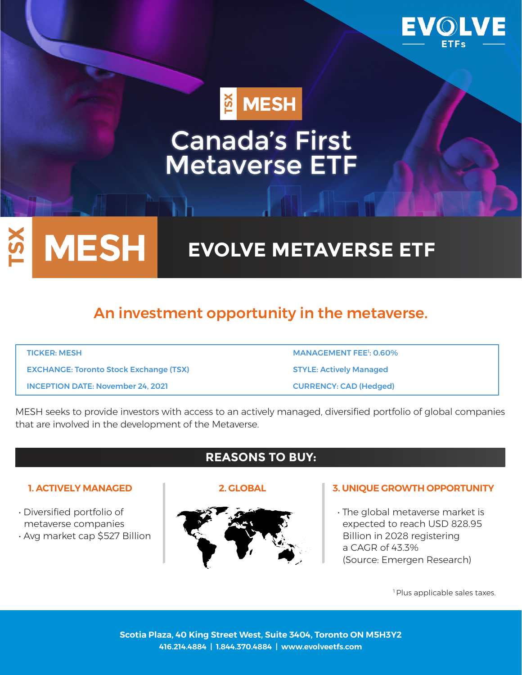

MESH

# **Canada's First<br>Metaverse ETF**

# **EVOLVE METAVERSE ETF**

# An investment opportunity in the metaverse.

| <b>TICKER: MESH</b>                           | <b>MANAGEMENT FEE<sup>1</sup>: 0.60%</b> |
|-----------------------------------------------|------------------------------------------|
| <b>EXCHANGE: Toronto Stock Exchange (TSX)</b> | <b>STYLE: Actively Managed</b>           |
| <b>INCEPTION DATE: November 24, 2021</b>      | <b>CURRENCY: CAD (Hedged)</b>            |

MESH seeks to provide investors with access to an actively managed, diversified portfolio of global companies that are involved in the development of the Metaverse.

**MESH** 

ISX

- Diversified portfolio of metaverse companies
- Avg market cap \$527 Billion

# **REASONS TO BUY:**





#### **1. ACTIVELY MANAGED 2. GLOBAL 3. UNIQUE GROWTH OPPORTUNITY**

• The global metaverse market is expected to reach USD 828.95 Billion in 2028 registering a CAGR of 43.3% (Source: Emergen Research)

<sup>1</sup> Plus applicable sales taxes.

**Scotia Plaza, 40 King Street West, Suite 3404, Toronto ON M5H3Y2 416.214.4884 | 1.844.370.4884 | www.evolveetfs.com**